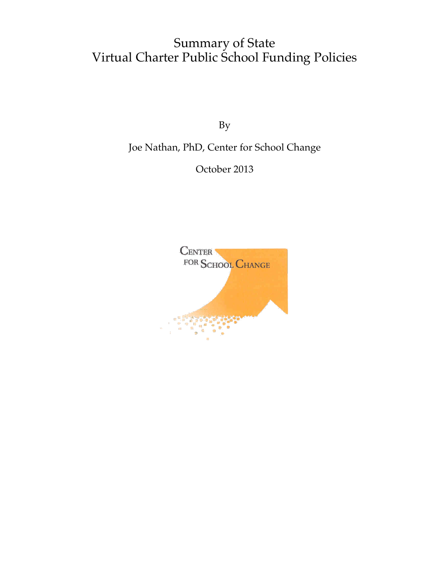## Summary of State Virtual Charter Public School Funding Policies

By

Joe Nathan, PhD, Center for School Change

October 2013

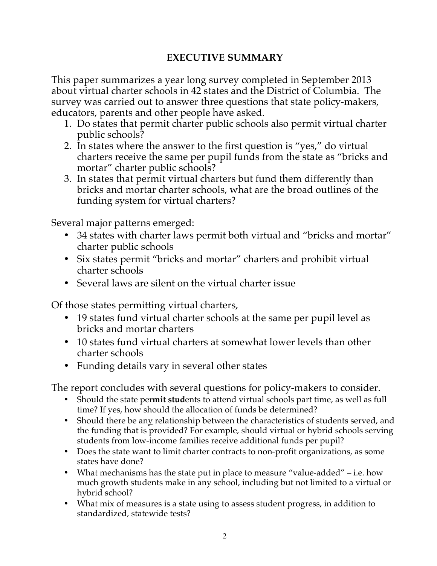## **EXECUTIVE SUMMARY**

This paper summarizes a year long survey completed in September 2013 about virtual charter schools in 42 states and the District of Columbia. The survey was carried out to answer three questions that state policy-makers, educators, parents and other people have asked.

- 1. Do states that permit charter public schools also permit virtual charter public schools?
- 2. In states where the answer to the first question is "yes," do virtual charters receive the same per pupil funds from the state as "bricks and mortar" charter public schools?
- 3. In states that permit virtual charters but fund them differently than bricks and mortar charter schools, what are the broad outlines of the funding system for virtual charters?

Several major patterns emerged:

- 34 states with charter laws permit both virtual and "bricks and mortar" charter public schools
- Six states permit "bricks and mortar" charters and prohibit virtual charter schools
- Several laws are silent on the virtual charter issue

Of those states permitting virtual charters,

- 19 states fund virtual charter schools at the same per pupil level as bricks and mortar charters
- 10 states fund virtual charters at somewhat lower levels than other charter schools
- Funding details vary in several other states

The report concludes with several questions for policy-makers to consider.

- Should the state pe**rmit stud**ents to attend virtual schools part time, as well as full time? If yes, how should the allocation of funds be determined?
- Should there be any relationship between the characteristics of students served, and the funding that is provided? For example, should virtual or hybrid schools serving students from low-income families receive additional funds per pupil?
- Does the state want to limit charter contracts to non-profit organizations, as some states have done?
- What mechanisms has the state put in place to measure "value-added" i.e. how much growth students make in any school, including but not limited to a virtual or hybrid school?
- What mix of measures is a state using to assess student progress, in addition to standardized, statewide tests?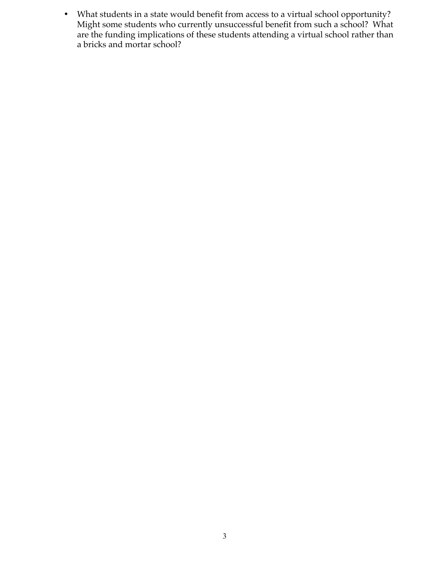• What students in a state would benefit from access to a virtual school opportunity? Might some students who currently unsuccessful benefit from such a school? What are the funding implications of these students attending a virtual school rather than a bricks and mortar school?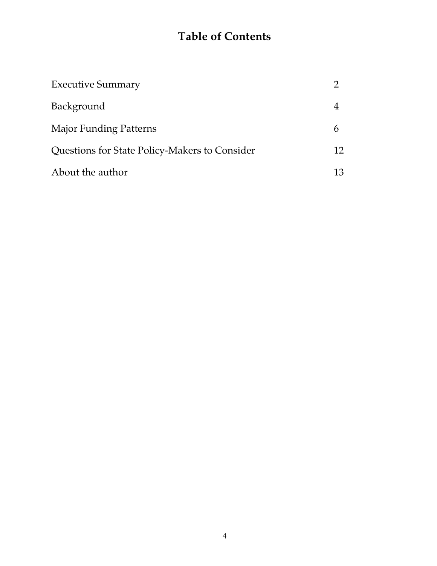# **Table of Contents**

| <b>Executive Summary</b>                      |    |
|-----------------------------------------------|----|
| Background                                    |    |
| <b>Major Funding Patterns</b>                 |    |
| Questions for State Policy-Makers to Consider | 12 |
| About the author                              | 13 |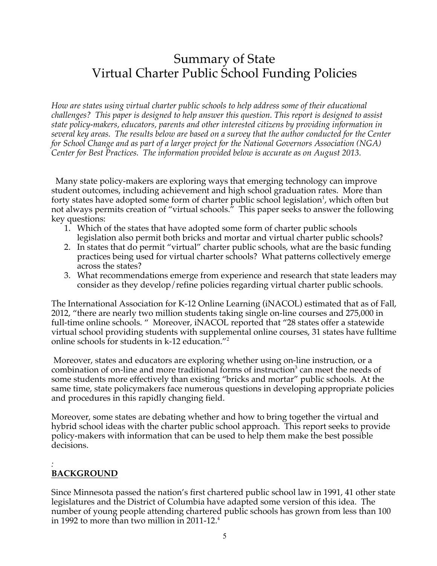## Summary of State Virtual Charter Public School Funding Policies

*How are states using virtual charter public schools to help address some of their educational challenges? This paper is designed to help answer this question. This report is designed to assist state policy-makers, educators, parents and other interested citizens by providing information in several key areas. The results below are based on a survey that the author conducted for the Center for School Change and as part of a larger project for the National Governors Association (NGA) Center for Best Practices. The information provided below is accurate as on August 2013.*

Many state policy-makers are exploring ways that emerging technology can improve student outcomes, including achievement and high school graduation rates. More than forty states have adopted some form of charter public school legislation<sup>1</sup>, which often but not always permits creation of "virtual schools." This paper seeks to answer the following key questions:

- 1. Which of the states that have adopted some form of charter public schools legislation also permit both bricks and mortar and virtual charter public schools?
- 2. In states that do permit "virtual" charter public schools, what are the basic funding practices being used for virtual charter schools? What patterns collectively emerge across the states?
- 3. What recommendations emerge from experience and research that state leaders may consider as they develop/refine policies regarding virtual charter public schools.

The International Association for K-12 Online Learning (iNACOL) estimated that as of Fall, 2012, "there are nearly two million students taking single on-line courses and 275,000 in full-time online schools. " Moreover, iNACOL reported that "28 states offer a statewide virtual school providing students with supplemental online courses, 31 states have fulltime online schools for students in k-12 education."<sup>2</sup>

Moreover, states and educators are exploring whether using on-line instruction, or a combination of on-line and more traditional forms of instruction<sup>3</sup> can meet the needs of some students more effectively than existing "bricks and mortar" public schools. At the same time, state policymakers face numerous questions in developing appropriate policies and procedures in this rapidly changing field.

Moreover, some states are debating whether and how to bring together the virtual and hybrid school ideas with the charter public school approach. This report seeks to provide policy-makers with information that can be used to help them make the best possible decisions.

#### *:* **BACKGROUND**

Since Minnesota passed the nation's first chartered public school law in 1991, 41 other state legislatures and the District of Columbia have adapted some version of this idea. The number of young people attending chartered public schools has grown from less than 100 in 1992 to more than two million in 2011-12. $^4$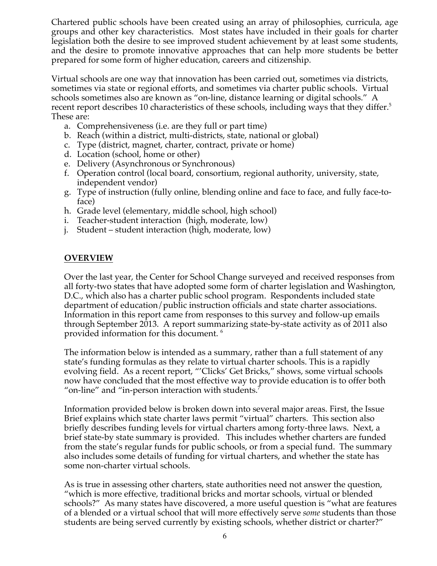Chartered public schools have been created using an array of philosophies, curricula, age groups and other key characteristics. Most states have included in their goals for charter legislation both the desire to see improved student achievement by at least some students, and the desire to promote innovative approaches that can help more students be better prepared for some form of higher education, careers and citizenship.

Virtual schools are one way that innovation has been carried out, sometimes via districts, sometimes via state or regional efforts, and sometimes via charter public schools. Virtual schools sometimes also are known as "on-line, distance learning or digital schools." A recent report describes 10 characteristics of these schools, including ways that they differ.<sup>5</sup> These are:

- a. Comprehensiveness (i.e. are they full or part time)
- b. Reach (within a district, multi-districts, state, national or global)
- c. Type (district, magnet, charter, contract, private or home)
- d. Location (school, home or other)
- e. Delivery (Asynchronous or Synchronous)
- f. Operation control (local board, consortium, regional authority, university, state, independent vendor)
- g. Type of instruction (fully online, blending online and face to face, and fully face-toface)
- h. Grade level (elementary, middle school, high school)
- i. Teacher-student interaction (high, moderate, low)
- j. Student student interaction (high, moderate, low)

#### **OVERVIEW**

Over the last year, the Center for School Change surveyed and received responses from all forty-two states that have adopted some form of charter legislation and Washington, D.C., which also has a charter public school program. Respondents included state department of education/public instruction officials and state charter associations. Information in this report came from responses to this survey and follow-up emails through September 2013. A report summarizing state-by-state activity as of 2011 also provided information for this document. 6

The information below is intended as a summary, rather than a full statement of any state's funding formulas as they relate to virtual charter schools. This is a rapidly evolving field. As a recent report, "'Clicks' Get Bricks," shows, some virtual schools now have concluded that the most effective way to provide education is to offer both "on-line" and "in-person interaction with students."

Information provided below is broken down into several major areas. First, the Issue Brief explains which state charter laws permit "virtual" charters. This section also briefly describes funding levels for virtual charters among forty-three laws. Next, a brief state-by state summary is provided. This includes whether charters are funded from the state's regular funds for public schools, or from a special fund. The summary also includes some details of funding for virtual charters, and whether the state has some non-charter virtual schools.

As is true in assessing other charters, state authorities need not answer the question, "which is more effective, traditional bricks and mortar schools, virtual or blended schools?" As many states have discovered, a more useful question is "what are features of a blended or a virtual school that will more effectively serve *some* students than those students are being served currently by existing schools, whether district or charter?"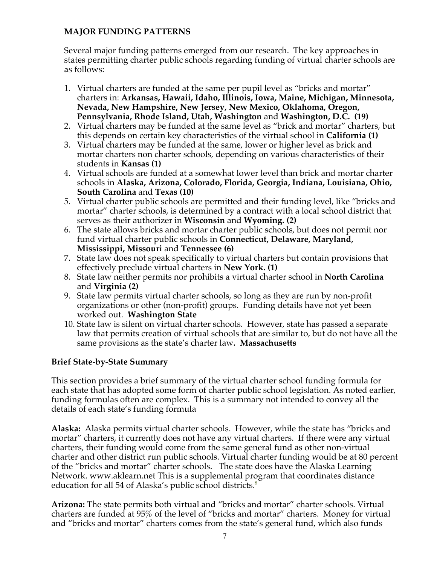### **MAJOR FUNDING PATTERNS**

Several major funding patterns emerged from our research. The key approaches in states permitting charter public schools regarding funding of virtual charter schools are as follows:

- 1. Virtual charters are funded at the same per pupil level as "bricks and mortar" charters in: **Arkansas, Hawaii, Idaho, Illinois, Iowa, Maine, Michigan, Minnesota, Nevada, New Hampshire, New Jersey, New Mexico, Oklahoma, Oregon, Pennsylvania, Rhode Island, Utah, Washington** and **Washington, D.C. (19)**
- 2. Virtual charters may be funded at the same level as "brick and mortar" charters, but this depends on certain key characteristics of the virtual school in **California (1)**
- 3. Virtual charters may be funded at the same, lower or higher level as brick and mortar charters non charter schools, depending on various characteristics of their students in **Kansas (1)**
- 4. Virtual schools are funded at a somewhat lower level than brick and mortar charter schools in **Alaska, Arizona, Colorado, Florida, Georgia, Indiana, Louisiana, Ohio, South Carolina** and **Texas (10)**
- 5. Virtual charter public schools are permitted and their funding level, like "bricks and mortar" charter schools, is determined by a contract with a local school district that serves as their authorizer in **Wisconsin** and **Wyoming. (2)**
- 6. The state allows bricks and mortar charter public schools, but does not permit nor fund virtual charter public schools in **Connecticut, Delaware, Maryland, Mississippi, Missouri** and **Tennessee (6)**
- 7. State law does not speak specifically to virtual charters but contain provisions that effectively preclude virtual charters in **New York. (1)**
- 8. State law neither permits nor prohibits a virtual charter school in **North Carolina**  and **Virginia (2)**
- 9. State law permits virtual charter schools, so long as they are run by non-profit organizations or other (non-profit) groups. Funding details have not yet been worked out. **Washington State**
- 10. State law is silent on virtual charter schools. However, state has passed a separate law that permits creation of virtual schools that are similar to, but do not have all the same provisions as the state's charter law**. Massachusetts**

### **Brief State-by-State Summary**

This section provides a brief summary of the virtual charter school funding formula for each state that has adopted some form of charter public school legislation. As noted earlier, funding formulas often are complex. This is a summary not intended to convey all the details of each state's funding formula

**Alaska:** Alaska permits virtual charter schools. However, while the state has "bricks and mortar" charters, it currently does not have any virtual charters. If there were any virtual charters, their funding would come from the same general fund as other non-virtual charter and other district run public schools. Virtual charter funding would be at 80 percent of the "bricks and mortar" charter schools. The state does have the Alaska Learning Network. www.aklearn.net This is a supplemental program that coordinates distance education for all 54 of Alaska's public school districts. 8

**Arizona:** The state permits both virtual and "bricks and mortar" charter schools. Virtual charters are funded at 95% of the level of "bricks and mortar" charters. Money for virtual and "bricks and mortar" charters comes from the state's general fund, which also funds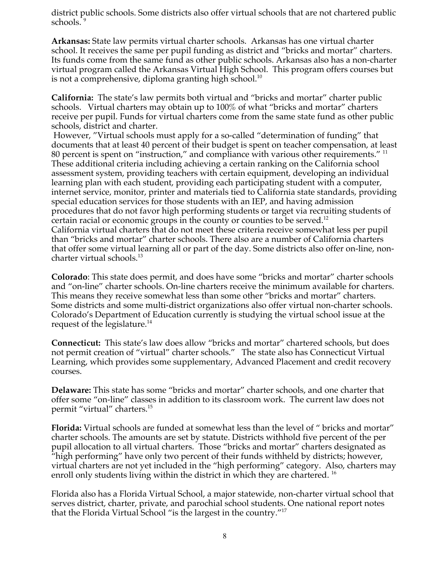district public schools. Some districts also offer virtual schools that are not chartered public schools.

**Arkansas:** State law permits virtual charter schools. Arkansas has one virtual charter school. It receives the same per pupil funding as district and "bricks and mortar" charters. Its funds come from the same fund as other public schools. Arkansas also has a non-charter virtual program called the Arkansas Virtual High School. This program offers courses but is not a comprehensive, diploma granting high school.<sup>10</sup>

**California:** The state's law permits both virtual and "bricks and mortar" charter public schools. Virtual charters may obtain up to 100% of what "bricks and mortar" charters receive per pupil. Funds for virtual charters come from the same state fund as other public schools, district and charter.

However, "Virtual schools must apply for a so-called "determination of funding" that documents that at least 40 percent of their budget is spent on teacher compensation, at least 80 percent is spent on "instruction," and compliance with various other requirements." <sup>11</sup> These additional criteria including achieving a certain ranking on the California school assessment system, providing teachers with certain equipment, developing an individual learning plan with each student, providing each participating student with a computer, internet service, monitor, printer and materials tied to California state standards, providing special education services for those students with an IEP, and having admission procedures that do not favor high performing students or target via recruiting students of certain racial or economic groups in the county or counties to be served.<sup>12</sup> California virtual charters that do not meet these criteria receive somewhat less per pupil than "bricks and mortar" charter schools. There also are a number of California charters that offer some virtual learning all or part of the day. Some districts also offer on-line, noncharter virtual schools.<sup>13</sup>

**Colorado**: This state does permit, and does have some "bricks and mortar" charter schools and "on-line" charter schools. On-line charters receive the minimum available for charters. This means they receive somewhat less than some other "bricks and mortar" charters. Some districts and some multi-district organizations also offer virtual non-charter schools. Colorado's Department of Education currently is studying the virtual school issue at the request of the legislature.<sup>14</sup>

**Connecticut:** This state's law does allow "bricks and mortar" chartered schools, but does not permit creation of "virtual" charter schools." The state also has Connecticut Virtual Learning, which provides some supplementary, Advanced Placement and credit recovery courses.

**Delaware:** This state has some "bricks and mortar" charter schools, and one charter that offer some "on-line" classes in addition to its classroom work. The current law does not permit "virtual" charters.15

**Florida:** Virtual schools are funded at somewhat less than the level of " bricks and mortar" charter schools. The amounts are set by statute. Districts withhold five percent of the per pupil allocation to all virtual charters. Those "bricks and mortar" charters designated as "high performing" have only two percent of their funds withheld by districts; however, virtual charters are not yet included in the "high performing" category. Also, charters may enroll only students living within the district in which they are chartered.<sup>16</sup>

Florida also has a Florida Virtual School, a major statewide, non-charter virtual school that serves district, charter, private, and parochial school students. One national report notes that the Florida Virtual School "is the largest in the country."17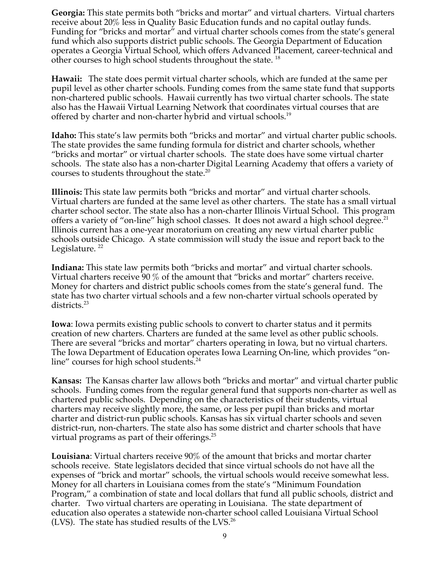**Georgia:** This state permits both "bricks and mortar" and virtual charters. Virtual charters receive about 20% less in Quality Basic Education funds and no capital outlay funds. Funding for "bricks and mortar" and virtual charter schools comes from the state's general fund which also supports district public schools. The Georgia Department of Education operates a Georgia Virtual School, which offers Advanced Placement, career-technical and other courses to high school students throughout the state.<sup>18</sup>

**Hawaii:** The state does permit virtual charter schools, which are funded at the same per pupil level as other charter schools. Funding comes from the same state fund that supports non-chartered public schools. Hawaii currently has two virtual charter schools. The state also has the Hawaii Virtual Learning Network that coordinates virtual courses that are offered by charter and non-charter hybrid and virtual schools.19

**Idaho:** This state's law permits both "bricks and mortar" and virtual charter public schools. The state provides the same funding formula for district and charter schools, whether "bricks and mortar" or virtual charter schools. The state does have some virtual charter schools. The state also has a non-charter Digital Learning Academy that offers a variety of courses to students throughout the state.<sup>20</sup>

**Illinois:** This state law permits both "bricks and mortar" and virtual charter schools. Virtual charters are funded at the same level as other charters. The state has a small virtual charter school sector. The state also has a non-charter Illinois Virtual School. This program offers a variety of "on-line" high school classes. It does not award a high school degree.<sup>21</sup> Illinois current has a one-year moratorium on creating any new virtual charter public schools outside Chicago. A state commission will study the issue and report back to the Legislature.  $^{22}$ 

**Indiana:** This state law permits both "bricks and mortar" and virtual charter schools. Virtual charters receive 90 % of the amount that "bricks and mortar" charters receive. Money for charters and district public schools comes from the state's general fund. The state has two charter virtual schools and a few non-charter virtual schools operated by districts.23

**Iowa**: Iowa permits existing public schools to convert to charter status and it permits creation of new charters. Charters are funded at the same level as other public schools. There are several "bricks and mortar" charters operating in Iowa, but no virtual charters. The Iowa Department of Education operates Iowa Learning On-line, which provides "online" courses for high school students.<sup>24</sup>

**Kansas:** The Kansas charter law allows both "bricks and mortar" and virtual charter public schools. Funding comes from the regular general fund that supports non-charter as well as chartered public schools. Depending on the characteristics of their students, virtual charters may receive slightly more, the same, or less per pupil than bricks and mortar charter and district-run public schools. Kansas has six virtual charter schools and seven district-run, non-charters. The state also has some district and charter schools that have virtual programs as part of their offerings.<sup>25</sup>

**Louisiana**: Virtual charters receive 90% of the amount that bricks and mortar charter schools receive. State legislators decided that since virtual schools do not have all the expenses of "brick and mortar" schools, the virtual schools would receive somewhat less. Money for all charters in Louisiana comes from the state's "Minimum Foundation Program," a combination of state and local dollars that fund all public schools, district and charter. Two virtual charters are operating in Louisiana. The state department of education also operates a statewide non-charter school called Louisiana Virtual School (LVS). The state has studied results of the LVS.<sup>26</sup>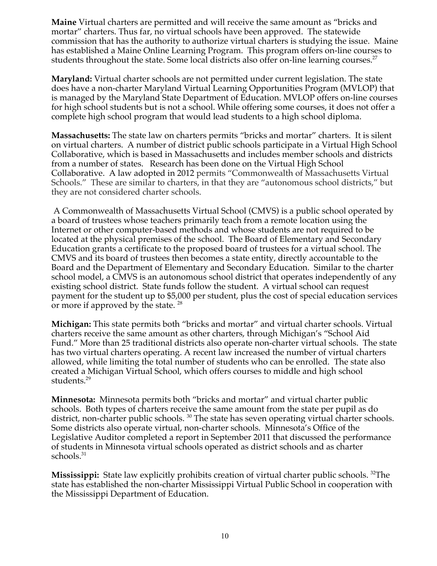**Maine** Virtual charters are permitted and will receive the same amount as "bricks and mortar" charters. Thus far, no virtual schools have been approved. The statewide commission that has the authority to authorize virtual charters is studying the issue. Maine has established a Maine Online Learning Program. This program offers on-line courses to students throughout the state. Some local districts also offer on-line learning courses.<sup>27</sup>

**Maryland:** Virtual charter schools are not permitted under current legislation. The state does have a non-charter Maryland Virtual Learning Opportunities Program (MVLOP) that is managed by the Maryland State Department of Education. MVLOP offers on-line courses for high school students but is not a school. While offering some courses, it does not offer a complete high school program that would lead students to a high school diploma.

**Massachusetts:** The state law on charters permits "bricks and mortar" charters. It is silent on virtual charters. A number of district public schools participate in a Virtual High School Collaborative, which is based in Massachusetts and includes member schools and districts from a number of states. Research has been done on the Virtual High School Collaborative. A law adopted in 2012 permits "Commonwealth of Massachusetts Virtual Schools." These are similar to charters, in that they are "autonomous school districts," but they are not considered charter schools.

A Commonwealth of Massachusetts Virtual School (CMVS) is a public school operated by a board of trustees whose teachers primarily teach from a remote location using the Internet or other computer-based methods and whose students are not required to be located at the physical premises of the school. The Board of Elementary and Secondary Education grants a certificate to the proposed board of trustees for a virtual school. The CMVS and its board of trustees then becomes a state entity, directly accountable to the Board and the Department of Elementary and Secondary Education. Similar to the charter school model, a CMVS is an autonomous school district that operates independently of any existing school district. State funds follow the student. A virtual school can request payment for the student up to \$5,000 per student, plus the cost of special education services or more if approved by the state. <sup>28</sup>

**Michigan:** This state permits both "bricks and mortar" and virtual charter schools. Virtual charters receive the same amount as other charters, through Michigan's "School Aid Fund." More than 25 traditional districts also operate non-charter virtual schools. The state has two virtual charters operating. A recent law increased the number of virtual charters allowed, while limiting the total number of students who can be enrolled. The state also created a Michigan Virtual School, which offers courses to middle and high school students.<sup>29</sup>

**Minnesota:** Minnesota permits both "bricks and mortar" and virtual charter public schools. Both types of charters receive the same amount from the state per pupil as do district, non-charter public schools.<sup>30</sup> The state has seven operating virtual charter schools. Some districts also operate virtual, non-charter schools. Minnesota's Office of the Legislative Auditor completed a report in September 2011 that discussed the performance of students in Minnesota virtual schools operated as district schools and as charter schools.<sup>31</sup>

**Mississippi:** State law explicitly prohibits creation of virtual charter public schools. <sup>32</sup>The state has established the non-charter Mississippi Virtual Public School in cooperation with the Mississippi Department of Education.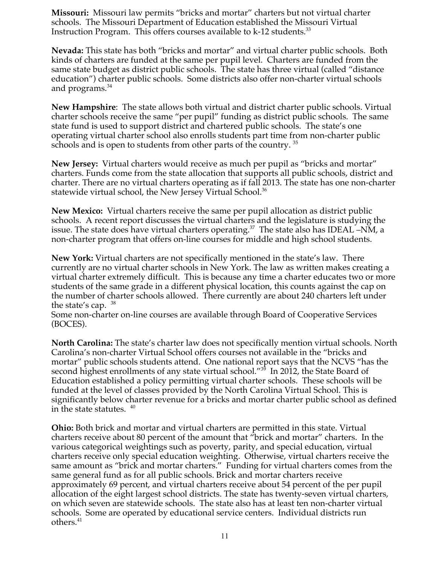**Missouri:** Missouri law permits "bricks and mortar" charters but not virtual charter schools. The Missouri Department of Education established the Missouri Virtual Instruction Program. This offers courses available to k-12 students.<sup>33</sup>

**Nevada:** This state has both "bricks and mortar" and virtual charter public schools. Both kinds of charters are funded at the same per pupil level. Charters are funded from the same state budget as district public schools. The state has three virtual (called "distance education") charter public schools. Some districts also offer non-charter virtual schools and programs. $34$ 

**New Hampshire**: The state allows both virtual and district charter public schools. Virtual charter schools receive the same "per pupil" funding as district public schools. The same state fund is used to support district and chartered public schools. The state's one operating virtual charter school also enrolls students part time from non-charter public schools and is open to students from other parts of the country.<sup>35</sup>

**New Jersey:** Virtual charters would receive as much per pupil as "bricks and mortar" charters. Funds come from the state allocation that supports all public schools, district and charter. There are no virtual charters operating as if fall 2013. The state has one non-charter statewide virtual school, the New Jersey Virtual School.<sup>36</sup>

**New Mexico:** Virtual charters receive the same per pupil allocation as district public schools. A recent report discusses the virtual charters and the legislature is studying the issue. The state does have virtual charters operating.<sup>37</sup> The state also has IDEAL –NM, a non-charter program that offers on-line courses for middle and high school students.

**New York:** Virtual charters are not specifically mentioned in the state's law. There currently are no virtual charter schools in New York. The law as written makes creating a virtual charter extremely difficult. This is because any time a charter educates two or more students of the same grade in a different physical location, this counts against the cap on the number of charter schools allowed. There currently are about 240 charters left under the state's cap.  $38$ 

Some non-charter on-line courses are available through Board of Cooperative Services (BOCES).

**North Carolina:** The state's charter law does not specifically mention virtual schools. North Carolina's non-charter Virtual School offers courses not available in the "bricks and mortar" public schools students attend. One national report says that the NCVS "has the second highest enrollments of any state virtual school."<sup>39</sup> In 2012, the State Board of Education established a policy permitting virtual charter schools. These schools will be funded at the level of classes provided by the North Carolina Virtual School. This is significantly below charter revenue for a bricks and mortar charter public school as defined in the state statutes.  $40$ 

**Ohio:** Both brick and mortar and virtual charters are permitted in this state. Virtual charters receive about 80 percent of the amount that "brick and mortar" charters. In the various categorical weightings such as poverty, parity, and special education, virtual charters receive only special education weighting. Otherwise, virtual charters receive the same amount as "brick and mortar charters." Funding for virtual charters comes from the same general fund as for all public schools. Brick and mortar charters receive approximately 69 percent, and virtual charters receive about 54 percent of the per pupil allocation of the eight largest school districts. The state has twenty-seven virtual charters, on which seven are statewide schools. The state also has at least ten non-charter virtual schools. Some are operated by educational service centers. Individual districts run others.<sup>41</sup>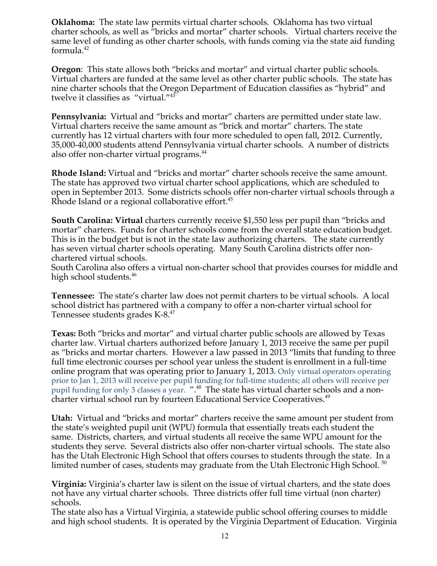**Oklahoma:** The state law permits virtual charter schools. Oklahoma has two virtual charter schools, as well as "bricks and mortar" charter schools. Virtual charters receive the same level of funding as other charter schools, with funds coming via the state aid funding formula. $42$ 

**Oregon**: This state allows both "bricks and mortar" and virtual charter public schools. Virtual charters are funded at the same level as other charter public schools. The state has nine charter schools that the Oregon Department of Education classifies as "hybrid" and twelve it classifies as "virtual."43

**Pennsylvania:** Virtual and "bricks and mortar" charters are permitted under state law. Virtual charters receive the same amount as "brick and mortar" charters. The state currently has 12 virtual charters with four more scheduled to open fall, 2012. Currently, 35,000-40,000 students attend Pennsylvania virtual charter schools. A number of districts also offer non-charter virtual programs.<sup>44</sup>

**Rhode Island:** Virtual and "bricks and mortar" charter schools receive the same amount. The state has approved two virtual charter school applications, which are scheduled to open in September 2013. Some districts schools offer non-charter virtual schools through a Rhode Island or a regional collaborative effort.<sup>45</sup>

**South Carolina: Virtual** charters currently receive \$1,550 less per pupil than "bricks and mortar" charters. Funds for charter schools come from the overall state education budget. This is in the budget but is not in the state law authorizing charters. The state currently has seven virtual charter schools operating. Many South Carolina districts offer nonchartered virtual schools.

South Carolina also offers a virtual non-charter school that provides courses for middle and high school students.<sup>46</sup>

**Tennessee:** The state's charter law does not permit charters to be virtual schools. A local school district has partnered with a company to offer a non-charter virtual school for Tennessee students grades K-8.<sup>47</sup>

**Texas:** Both "bricks and mortar" and virtual charter public schools are allowed by Texas charter law. Virtual charters authorized before January 1, 2013 receive the same per pupil as "bricks and mortar charters. However a law passed in 2013 "limits that funding to three full time electronic courses per school year unless the student is enrollment in a full-time online program that was operating prior to January 1, 2013. Only virtual operators operating prior to Jan 1, 2013 will receive per pupil funding for full-time students; all others will receive per pupil funding for only 3 classes a year. ".<sup>48</sup> The state has virtual charter schools and a noncharter virtual school run by fourteen Educational Service Cooperatives.<sup>49</sup>

**Utah:** Virtual and "bricks and mortar" charters receive the same amount per student from the state's weighted pupil unit (WPU) formula that essentially treats each student the same. Districts, charters, and virtual students all receive the same WPU amount for the students they serve. Several districts also offer non-charter virtual schools. The state also has the Utah Electronic High School that offers courses to students through the state. In a limited number of cases, students may graduate from the Utah Electronic High School.<sup>50</sup>

**Virginia:** Virginia's charter law is silent on the issue of virtual charters, and the state does not have any virtual charter schools. Three districts offer full time virtual (non charter) schools.

The state also has a Virtual Virginia, a statewide public school offering courses to middle and high school students. It is operated by the Virginia Department of Education. Virginia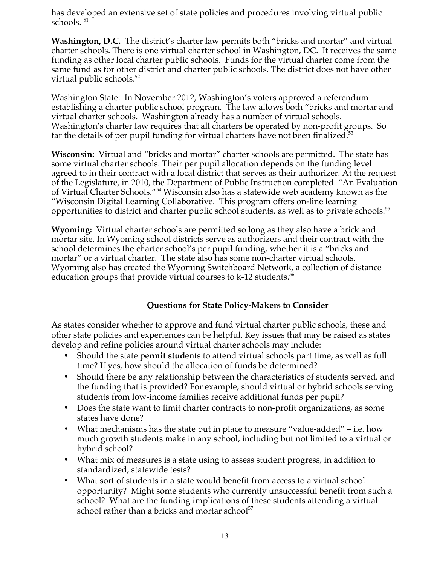has developed an extensive set of state policies and procedures involving virtual public schools. <sup>51</sup>

**Washington, D.C.** The district's charter law permits both "bricks and mortar" and virtual charter schools. There is one virtual charter school in Washington, DC. It receives the same funding as other local charter public schools. Funds for the virtual charter come from the same fund as for other district and charter public schools. The district does not have other virtual public schools.<sup>52</sup>

Washington State: In November 2012, Washington's voters approved a referendum establishing a charter public school program. The law allows both "bricks and mortar and virtual charter schools. Washington already has a number of virtual schools. Washington's charter law requires that all charters be operated by non-profit groups. So far the details of per pupil funding for virtual charters have not been finalized. $53$ 

**Wisconsin:** Virtual and "bricks and mortar" charter schools are permitted. The state has some virtual charter schools. Their per pupil allocation depends on the funding level agreed to in their contract with a local district that serves as their authorizer. At the request of the Legislature, in 2010, the Department of Public Instruction completed "An Evaluation of Virtual Charter Schools."<sup>54</sup> Wisconsin also has a statewide web academy known as the "Wisconsin Digital Learning Collaborative. This program offers on-line learning opportunities to district and charter public school students, as well as to private schools.<sup>55</sup>

**Wyoming:** Virtual charter schools are permitted so long as they also have a brick and mortar site. In Wyoming school districts serve as authorizers and their contract with the school determines the charter school's per pupil funding, whether it is a "bricks and mortar" or a virtual charter. The state also has some non-charter virtual schools. Wyoming also has created the Wyoming Switchboard Network, a collection of distance education groups that provide virtual courses to  $k-12$  students.<sup>56</sup>

### **Questions for State Policy-Makers to Consider**

As states consider whether to approve and fund virtual charter public schools, these and other state policies and experiences can be helpful. Key issues that may be raised as states develop and refine policies around virtual charter schools may include:

- Should the state pe**rmit stud**ents to attend virtual schools part time, as well as full time? If yes, how should the allocation of funds be determined?
- Should there be any relationship between the characteristics of students served, and the funding that is provided? For example, should virtual or hybrid schools serving students from low-income families receive additional funds per pupil?
- Does the state want to limit charter contracts to non-profit organizations, as some states have done?
- What mechanisms has the state put in place to measure "value-added" i.e. how much growth students make in any school, including but not limited to a virtual or hybrid school?
- What mix of measures is a state using to assess student progress, in addition to standardized, statewide tests?
- What sort of students in a state would benefit from access to a virtual school opportunity? Might some students who currently unsuccessful benefit from such a school? What are the funding implications of these students attending a virtual school rather than a bricks and mortar school $57$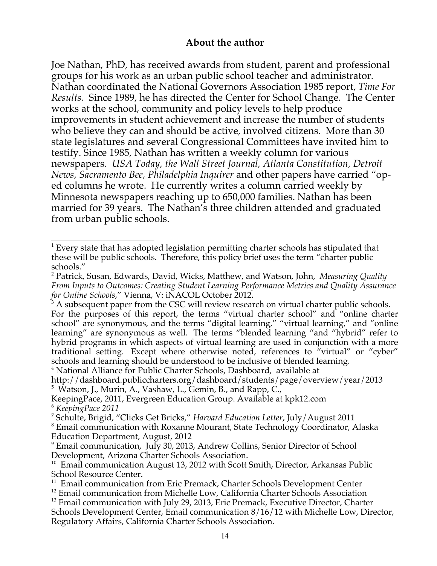## **About the author**

Joe Nathan, PhD, has received awards from student, parent and professional groups for his work as an urban public school teacher and administrator. Nathan coordinated the National Governors Association 1985 report, *Time For Results.* Since 1989, he has directed the Center for School Change. The Center works at the school, community and policy levels to help produce improvements in student achievement and increase the number of students who believe they can and should be active, involved citizens. More than 30 state legislatures and several Congressional Committees have invited him to testify. Since 1985, Nathan has written a weekly column for various newspapers. *USA Today, the Wall Street Journal, Atlanta Constitution, Detroit News, Sacramento Bee, Philadelphia Inquirer* and other papers have carried "oped columns he wrote. He currently writes a column carried weekly by Minnesota newspapers reaching up to 650,000 families. Nathan has been married for 39 years. The Nathan's three children attended and graduated from urban public schools.

<sup>4</sup> National Alliance for Public Charter Schools, Dashboard, available at

<sup>7</sup> Schulte, Brigid, "Clicks Get Bricks," *Harvard Education Letter*, July/August 2011

<sup>8</sup> Email communication with Roxanne Mourant, State Technology Coordinator, Alaska Education Department, August, 2012

 $1$  Every state that has adopted legislation permitting charter schools has stipulated that these will be public schools. Therefore, this policy brief uses the term "charter public schools."

<sup>2</sup> Patrick, Susan, Edwards, David, Wicks, Matthew, and Watson, John, *Measuring Quality From Inputs to Outcomes: Creating Student Learning Performance Metrics and Quality Assurance for Online Schools*," Vienna, V: iNACOL October 2012.

 $3$  A subsequent paper from the CSC will review research on virtual charter public schools. For the purposes of this report, the terms "virtual charter school" and "online charter school" are synonymous, and the terms "digital learning," "virtual learning," and "online learning" are synonymous as well. The terms "blended learning "and "hybrid" refer to hybrid programs in which aspects of virtual learning are used in conjunction with a more traditional setting. Except where otherwise noted, references to "virtual" or "cyber" schools and learning should be understood to be inclusive of blended learning.

http://dashboard.publiccharters.org/dashboard/students/page/overview/year/2013 <sup>5</sup> Watson, J., Murin, A., Vashaw, L., Gemin, B., and Rapp, C.,

KeepingPace, 2011, Evergreen Education Group. Available at kpk12.com <sup>6</sup> *KeepingPace 2011*

<sup>9</sup> Email communication, July 30, 2013, Andrew Collins, Senior Director of School Development, Arizona Charter Schools Association.

 $10$  Email communication August 13, 2012 with Scott Smith, Director, Arkansas Public School Resource Center.

 $11$  Email communication from Eric Premack, Charter Schools Development Center

 $12$  Email communication from Michelle Low, California Charter Schools Association

<sup>&</sup>lt;sup>13</sup> Email communication with July 29, 2013, Eric Premack, Executive Director, Charter Schools Development Center, Email communication 8/16/12 with Michelle Low, Director, Regulatory Affairs, California Charter Schools Association.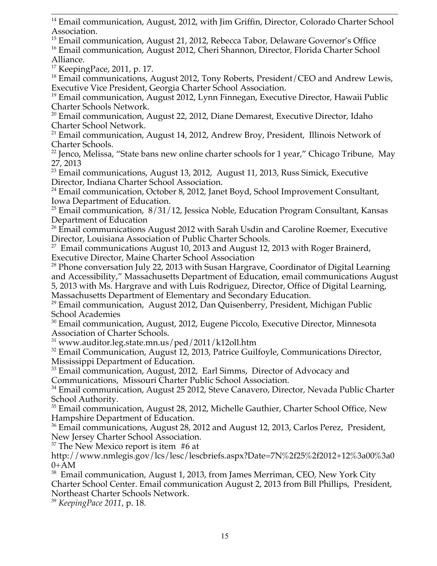<sup>15</sup> Email communication, August 21, 2012, Rebecca Tabor, Delaware Governor's Office <sup>16</sup> Email communication, August 2012, Cheri Shannon, Director, Florida Charter School Alliance.

 $17$  KeepingPace, 2011, p. 17.

<sup>18</sup> Email communications, August 2012, Tony Roberts, President/CEO and Andrew Lewis, Executive Vice President, Georgia Charter School Association.

<sup>19</sup> Email communication, August 2012, Lynn Finnegan, Executive Director, Hawaii Public Charter Schools Network.

 $20$  Email communication, August 22, 2012, Diane Demarest, Executive Director, Idaho Charter School Network.

<sup>21</sup> Email communication, August 14, 2012, Andrew Broy, President, Illinois Network of Charter Schools.

<sup>22</sup> Jenco, Melissa, "State bans new online charter schools for 1 year," Chicago Tribune, May 27, 2013

<sup>23</sup> Email communications, August 13, 2012, August 11, 2013, Russ Simick, Executive Director, Indiana Charter School Association.

<sup>24</sup> Email communication, October 8, 2012, Janet Boyd, School Improvement Consultant, Iowa Department of Education.

 $^{25}$  Email communication,  $8/31/12$ , Jessica Noble, Education Program Consultant, Kansas Department of Education

 $26$  Email communications August 2012 with Sarah Usdin and Caroline Roemer, Executive Director, Louisiana Association of Public Charter Schools.

 $27$  Email communications August 10, 2013 and August 12, 2013 with Roger Brainerd, Executive Director, Maine Charter School Association

 $28$  Phone conversation July 22, 2013 with Susan Hargrave, Coordinator of Digital Learning and Accessibility," Massachusetts Department of Education, email communications August 5, 2013 with Ms. Hargrave and with Luis Rodriguez, Director, Office of Digital Learning, Massachusetts Department of Elementary and Secondary Education.

 $29$  Email communication, August 2012, Dan Quisenberry, President, Michigan Public School Academies

<sup>30</sup> Email communication, August, 2012, Eugene Piccolo, Executive Director, Minnesota Association of Charter Schools.

 $31$  www.auditor.leg.state.mn.us/ped/2011/k12oll.htm

 $32$  Email Communication, August 12, 2013, Patrice Guilfoyle, Communications Director, Mississippi Department of Education.

<sup>33</sup> Email communication, August, 2012, Earl Simms, Director of Advocacy and Communications, Missouri Charter Public School Association.

<sup>34</sup> Email communication, August 25 2012, Steve Canavero, Director, Nevada Public Charter School Authority.

<sup>35</sup> Email communication, August 28, 2012, Michelle Gauthier, Charter School Office, New Hampshire Department of Education.

<sup>36</sup> Email communications, August 28, 2012 and August 12, 2013, Carlos Perez, President, New Jersey Charter School Association.

 $37$  The New Mexico report is item #6 at

http://www.nmlegis.gov/lcs/lesc/lescbriefs.aspx?Date=7N%2f25%2f2012+12%3a00%3a0  $0+A-M$ 

 $38$  Email communication, August 1, 2013, from James Merriman, CEO, New York City Charter School Center. Email communication August 2, 2013 from Bill Phillips, President, Northeast Charter Schools Network.

<sup>39</sup> *KeepingPace 2011*, p. 18.

 $\overline{a}$  $14$  Email communication, August, 2012, with Jim Griffin, Director, Colorado Charter School Association.